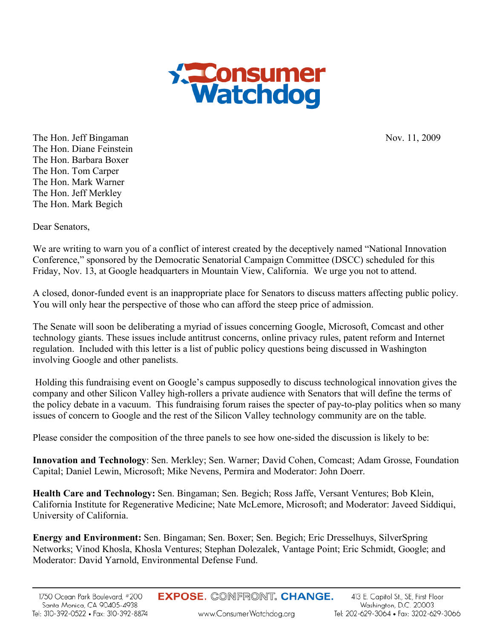

The Hon. Jeff Bingaman Nov. 11, 2009 The Hon. Diane Feinstein The Hon. Barbara Boxer The Hon. Tom Carper The Hon. Mark Warner The Hon. Jeff Merkley The Hon. Mark Begich

Dear Senators,

We are writing to warn you of a conflict of interest created by the deceptively named "National Innovation Conference," sponsored by the Democratic Senatorial Campaign Committee (DSCC) scheduled for this Friday, Nov. 13, at Google headquarters in Mountain View, California. We urge you not to attend.

A closed, donor-funded event is an inappropriate place for Senators to discuss matters affecting public policy. You will only hear the perspective of those who can afford the steep price of admission.

The Senate will soon be deliberating a myriad of issues concerning Google, Microsoft, Comcast and other technology giants. These issues include antitrust concerns, online privacy rules, patent reform and Internet regulation. Included with this letter is a list of public policy questions being discussed in Washington involving Google and other panelists.

 Holding this fundraising event on Google's campus supposedly to discuss technological innovation gives the company and other Silicon Valley high-rollers a private audience with Senators that will define the terms of the policy debate in a vacuum. This fundraising forum raises the specter of pay-to-play politics when so many issues of concern to Google and the rest of the Silicon Valley technology community are on the table.

Please consider the composition of the three panels to see how one-sided the discussion is likely to be:

**Innovation and Technology**: Sen. Merkley; Sen. Warner; David Cohen, Comcast; Adam Grosse, Foundation Capital; Daniel Lewin, Microsoft; Mike Nevens, Permira and Moderator: John Doerr.

**Health Care and Technology:** Sen. Bingaman; Sen. Begich; Ross Jaffe, Versant Ventures; Bob Klein, California Institute for Regenerative Medicine; Nate McLemore, Microsoft; and Moderator: Javeed Siddiqui, University of California.

**Energy and Environment:** Sen. Bingaman; Sen. Boxer; Sen. Begich; Eric Dresselhuys, SilverSpring Networks; Vinod Khosla, Khosla Ventures; Stephan Dolezalek, Vantage Point; Eric Schmidt, Google; and Moderator: David Yarnold, Environmental Defense Fund.